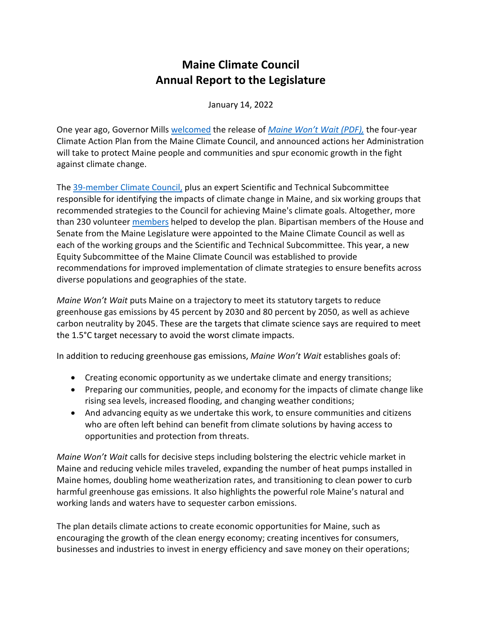# **Maine Climate Council Annual Report to the Legislature**

January 14, 2022

One year ago, Governor Mills [welcomed](https://gcc02.safelinks.protection.outlook.com/?url=https%3A%2F%2Fwww.maine.gov%2Fgovernor%2Fmills%2Fnews%2Fgovernor-mills-welcomes-plan-combat-climate-change-announces-actions-protect-maine-people-2020&data=04%7C01%7CSarah.Curran%40maine.gov%7C530fe7b3038943b73d2a08d896d4ce0a%7C413fa8ab207d4b629bcdea1a8f2f864e%7C0%7C0%7C637425188019417869%7CUnknown%7CTWFpbGZsb3d8eyJWIjoiMC4wLjAwMDAiLCJQIjoiV2luMzIiLCJBTiI6Ik1haWwiLCJXVCI6Mn0%3D%7C1000&sdata=PiuBfB9jusUaQ3Prx9NaTcBcpHgVLcm4sBLso%2B12fUM%3D&reserved=0) the release of *[Maine Won't Wait \(PDF\),](https://gcc02.safelinks.protection.outlook.com/?url=https%3A%2F%2Fwww.maine.gov%2Ffuture%2Fsites%2Fmaine.gov.future%2Ffiles%2Finline-files%2FMaineWontWait_December2020.pdf&data=04%7C01%7CSarah.Curran%40maine.gov%7C530fe7b3038943b73d2a08d896d4ce0a%7C413fa8ab207d4b629bcdea1a8f2f864e%7C0%7C0%7C637425188019427827%7CUnknown%7CTWFpbGZsb3d8eyJWIjoiMC4wLjAwMDAiLCJQIjoiV2luMzIiLCJBTiI6Ik1haWwiLCJXVCI6Mn0%3D%7C1000&sdata=8S7LXTj%2FkHTGp2iWKJZ7dhbNrH776Fpgqy8%2BFfmBg5I%3D&reserved=0)* the four-year Climate Action Plan from the Maine Climate Council, and announced actions her Administration will take to protect Maine people and communities and spur economic growth in the fight against climate change.

The [39-member Climate Council,](https://www.maine.gov/governor/mills/news/mills-administration-announces-maine-climate-council-membership-2020-01-08) plus an expert Scientific and Technical Subcommittee responsible for identifying the impacts of climate change in Maine, and six working groups that recommended strategies to the Council for achieving Maine's climate goals. Altogether, more than 230 volunteer [members](https://climatecouncil.maine.gov/members) helped to develop the plan. Bipartisan members of the House and Senate from the Maine Legislature were appointed to the Maine Climate Council as well as each of the working groups and the Scientific and Technical Subcommittee. This year, a new Equity Subcommittee of the Maine Climate Council was established to provide recommendations for improved implementation of climate strategies to ensure benefits across diverse populations and geographies of the state.

*Maine Won't Wait* puts Maine on a trajectory to meet its statutory targets to reduce greenhouse gas emissions by 45 percent by 2030 and 80 percent by 2050, as well as achieve carbon neutrality by 2045. These are the targets that climate science says are required to meet the 1.5°C target necessary to avoid the worst climate impacts.

In addition to reducing greenhouse gas emissions, *Maine Won't Wait* establishes goals of:

- Creating economic opportunity as we undertake climate and energy transitions;
- Preparing our communities, people, and economy for the impacts of climate change like rising sea levels, increased flooding, and changing weather conditions;
- And advancing equity as we undertake this work, to ensure communities and citizens who are often left behind can benefit from climate solutions by having access to opportunities and protection from threats.

*Maine Won't Wait* calls for decisive steps including bolstering the electric vehicle market in Maine and reducing vehicle miles traveled, expanding the number of heat pumps installed in Maine homes, doubling home weatherization rates, and transitioning to clean power to curb harmful greenhouse gas emissions. It also highlights the powerful role Maine's natural and working lands and waters have to sequester carbon emissions.

The plan details climate actions to create economic opportunities for Maine, such as encouraging the growth of the clean energy economy; creating incentives for consumers, businesses and industries to invest in energy efficiency and save money on their operations;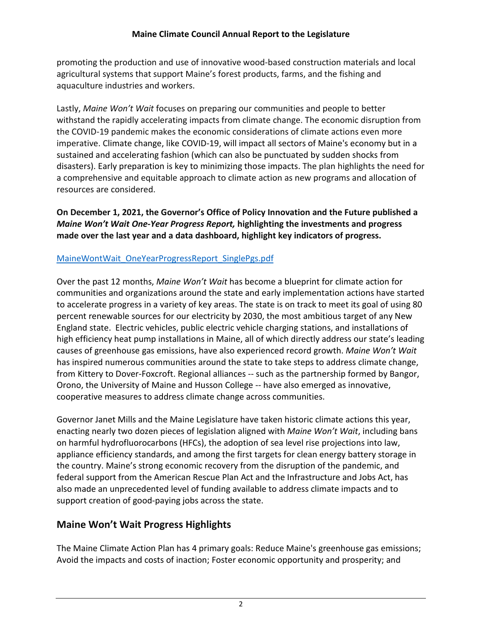promoting the production and use of innovative wood-based construction materials and local agricultural systems that support Maine's forest products, farms, and the fishing and aquaculture industries and workers.

Lastly, *Maine Won't Wait* focuses on preparing our communities and people to better withstand the rapidly accelerating impacts from climate change. The economic disruption from the COVID-19 pandemic makes the economic considerations of climate actions even more imperative. Climate change, like COVID-19, will impact all sectors of Maine's economy but in a sustained and accelerating fashion (which can also be punctuated by sudden shocks from disasters). Early preparation is key to minimizing those impacts. The plan highlights the need for a comprehensive and equitable approach to climate action as new programs and allocation of resources are considered.

**On December 1, 2021, the Governor's Office of Policy Innovation and the Future published a**  *Maine Won't Wait One-Year Progress Report,* **highlighting the investments and progress made over the last year and a data dashboard, highlight key indicators of progress.** 

## [MaineWontWait\\_OneYearProgressReport\\_SinglePgs.pdf](https://www.maine.gov/future/sites/maine.gov.future/files/inline-files/MaineWontWait_OneYearProgressReport_SinglePgs.pdf)

Over the past 12 months, *Maine Won't Wait* has become a blueprint for climate action for communities and organizations around the state and early implementation actions have started to accelerate progress in a variety of key areas. The state is on track to meet its goal of using 80 percent renewable sources for our electricity by 2030, the most ambitious target of any New England state. Electric vehicles, public electric vehicle charging stations, and installations of high efficiency heat pump installations in Maine, all of which directly address our state's leading causes of greenhouse gas emissions, have also experienced record growth. *Maine Won't Wait*  has inspired numerous communities around the state to take steps to address climate change, from Kittery to Dover-Foxcroft. Regional alliances -- such as the partnership formed by Bangor, Orono, the University of Maine and Husson College -- have also emerged as innovative, cooperative measures to address climate change across communities.

Governor Janet Mills and the Maine Legislature have taken historic climate actions this year, enacting nearly two dozen pieces of legislation aligned with *Maine Won't Wait*, including bans on harmful hydrofluorocarbons (HFCs), the adoption of sea level rise projections into law, appliance efficiency standards, and among the first targets for clean energy battery storage in the country. Maine's strong economic recovery from the disruption of the pandemic, and federal support from the American Rescue Plan Act and the Infrastructure and Jobs Act, has also made an unprecedented level of funding available to address climate impacts and to support creation of good-paying jobs across the state.

# **Maine Won't Wait Progress Highlights**

The Maine Climate Action Plan has 4 primary goals: Reduce Maine's greenhouse gas emissions; Avoid the impacts and costs of inaction; Foster economic opportunity and prosperity; and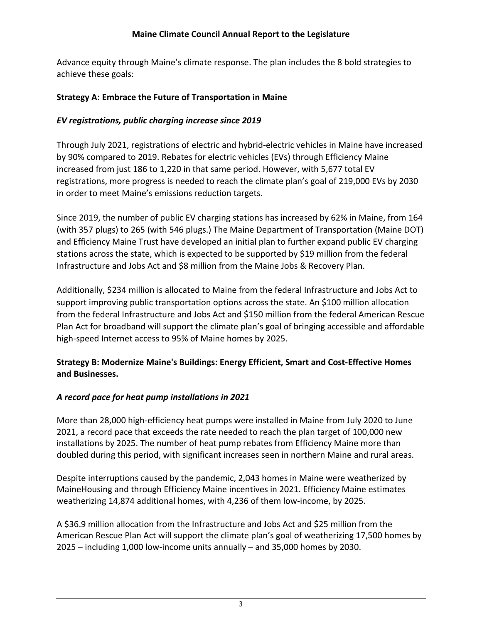Advance equity through Maine's climate response. The plan includes the 8 bold strategies to achieve these goals:

### **Strategy A: Embrace the Future of Transportation in Maine**

# *EV registrations, public charging increase since 2019*

Through July 2021, registrations of electric and hybrid-electric vehicles in Maine have increased by 90% compared to 2019. Rebates for electric vehicles (EVs) through Efficiency Maine increased from just 186 to 1,220 in that same period. However, with 5,677 total EV registrations, more progress is needed to reach the climate plan's goal of 219,000 EVs by 2030 in order to meet Maine's emissions reduction targets.

Since 2019, the number of public EV charging stations has increased by 62% in Maine, from 164 (with 357 plugs) to 265 (with 546 plugs.) The Maine Department of Transportation (Maine DOT) and Efficiency Maine Trust have developed an initial plan to further expand public EV charging stations across the state, which is expected to be supported by \$19 million from the federal Infrastructure and Jobs Act and \$8 million from the Maine Jobs & Recovery Plan.

Additionally, \$234 million is allocated to Maine from the federal Infrastructure and Jobs Act to support improving public transportation options across the state. An \$100 million allocation from the federal Infrastructure and Jobs Act and \$150 million from the federal American Rescue Plan Act for broadband will support the climate plan's goal of bringing accessible and affordable high-speed Internet access to 95% of Maine homes by 2025.

## **Strategy B: Modernize Maine's Buildings: Energy Efficient, Smart and Cost-Effective Homes and Businesses.**

# *A record pace for heat pump installations in 2021*

More than 28,000 high-efficiency heat pumps were installed in Maine from July 2020 to June 2021, a record pace that exceeds the rate needed to reach the plan target of 100,000 new installations by 2025. The number of heat pump rebates from Efficiency Maine more than doubled during this period, with significant increases seen in northern Maine and rural areas.

Despite interruptions caused by the pandemic, 2,043 homes in Maine were weatherized by MaineHousing and through Efficiency Maine incentives in 2021. Efficiency Maine estimates weatherizing 14,874 additional homes, with 4,236 of them low-income, by 2025.

A \$36.9 million allocation from the Infrastructure and Jobs Act and \$25 million from the American Rescue Plan Act will support the climate plan's goal of weatherizing 17,500 homes by 2025 – including 1,000 low-income units annually – and 35,000 homes by 2030.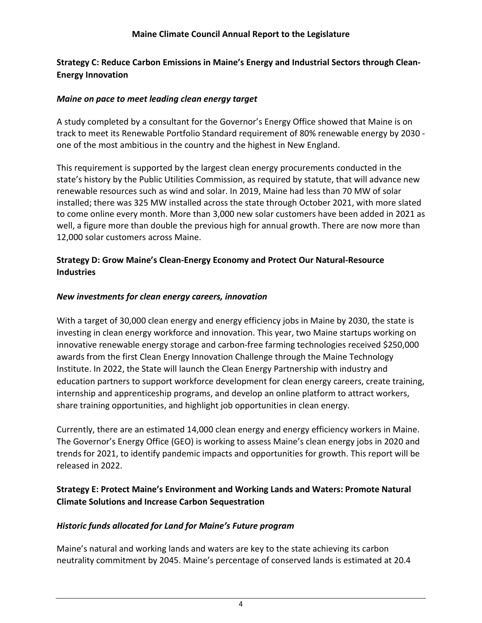### **Strategy C: Reduce Carbon Emissions in Maine's Energy and Industrial Sectors through Clean-Energy Innovation**

#### *Maine on pace to meet leading clean energy target*

A study completed by a consultant for the Governor's Energy Office showed that Maine is on track to meet its Renewable Portfolio Standard requirement of 80% renewable energy by 2030 one of the most ambitious in the country and the highest in New England.

This requirement is supported by the largest clean energy procurements conducted in the state's history by the Public Utilities Commission, as required by statute, that will advance new renewable resources such as wind and solar. In 2019, Maine had less than 70 MW of solar installed; there was 325 MW installed across the state through October 2021, with more slated to come online every month. More than 3,000 new solar customers have been added in 2021 as well, a figure more than double the previous high for annual growth. There are now more than 12,000 solar customers across Maine.

#### **Strategy D: Grow Maine's Clean-Energy Economy and Protect Our Natural-Resource Industries**

#### *New investments for clean energy careers, innovation*

With a target of 30,000 clean energy and energy efficiency jobs in Maine by 2030, the state is investing in clean energy workforce and innovation. This year, two Maine startups working on innovative renewable energy storage and carbon-free farming technologies received \$250,000 awards from the first Clean Energy Innovation Challenge through the Maine Technology Institute. In 2022, the State will launch the Clean Energy Partnership with industry and education partners to support workforce development for clean energy careers, create training, internship and apprenticeship programs, and develop an online platform to attract workers, share training opportunities, and highlight job opportunities in clean energy.

Currently, there are an estimated 14,000 clean energy and energy efficiency workers in Maine. The Governor's Energy Office (GEO) is working to assess Maine's clean energy jobs in 2020 and trends for 2021, to identify pandemic impacts and opportunities for growth. This report will be released in 2022.

#### **Strategy E: Protect Maine's Environment and Working Lands and Waters: Promote Natural Climate Solutions and Increase Carbon Sequestration**

#### *Historic funds allocated for Land for Maine's Future program*

Maine's natural and working lands and waters are key to the state achieving its carbon neutrality commitment by 2045. Maine's percentage of conserved lands is estimated at 20.4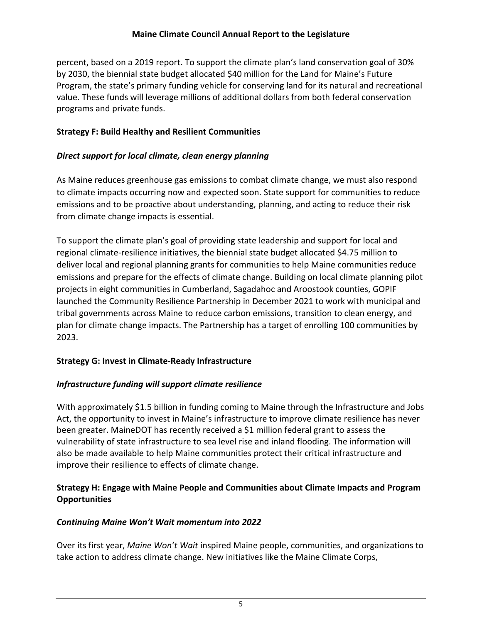#### **Maine Climate Council Annual Report to the Legislature**

percent, based on a 2019 report. To support the climate plan's land conservation goal of 30% by 2030, the biennial state budget allocated \$40 million for the Land for Maine's Future Program, the state's primary funding vehicle for conserving land for its natural and recreational value. These funds will leverage millions of additional dollars from both federal conservation programs and private funds.

#### **Strategy F: Build Healthy and Resilient Communities**

#### *Direct support for local climate, clean energy planning*

As Maine reduces greenhouse gas emissions to combat climate change, we must also respond to climate impacts occurring now and expected soon. State support for communities to reduce emissions and to be proactive about understanding, planning, and acting to reduce their risk from climate change impacts is essential.

To support the climate plan's goal of providing state leadership and support for local and regional climate-resilience initiatives, the biennial state budget allocated \$4.75 million to deliver local and regional planning grants for communities to help Maine communities reduce emissions and prepare for the effects of climate change. Building on local climate planning pilot projects in eight communities in Cumberland, Sagadahoc and Aroostook counties, GOPIF launched the Community Resilience Partnership in December 2021 to work with municipal and tribal governments across Maine to reduce carbon emissions, transition to clean energy, and plan for climate change impacts. The Partnership has a target of enrolling 100 communities by 2023.

#### **Strategy G: Invest in Climate-Ready Infrastructure**

#### *Infrastructure funding will support climate resilience*

With approximately \$1.5 billion in funding coming to Maine through the Infrastructure and Jobs Act, the opportunity to invest in Maine's infrastructure to improve climate resilience has never been greater. MaineDOT has recently received a \$1 million federal grant to assess the vulnerability of state infrastructure to sea level rise and inland flooding. The information will also be made available to help Maine communities protect their critical infrastructure and improve their resilience to effects of climate change.

#### **Strategy H: Engage with Maine People and Communities about Climate Impacts and Program Opportunities**

#### *Continuing Maine Won't Wait momentum into 2022*

Over its first year, *Maine Won't Wait* inspired Maine people, communities, and organizations to take action to address climate change. New initiatives like the Maine Climate Corps,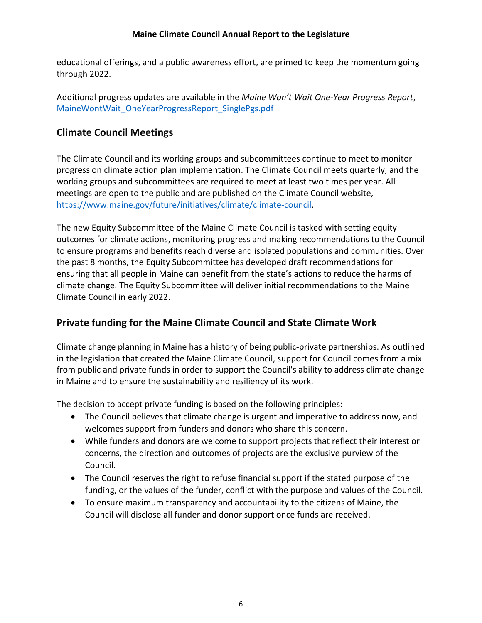#### **Maine Climate Council Annual Report to the Legislature**

educational offerings, and a public awareness effort, are primed to keep the momentum going through 2022.

Additional progress updates are available in the *Maine Won't Wait One-Year Progress Report*, [MaineWontWait\\_OneYearProgressReport\\_SinglePgs.pdf](https://www.maine.gov/future/sites/maine.gov.future/files/inline-files/MaineWontWait_OneYearProgressReport_SinglePgs.pdf)

# **Climate Council Meetings**

The Climate Council and its working groups and subcommittees continue to meet to monitor progress on climate action plan implementation. The Climate Council meets quarterly, and the working groups and subcommittees are required to meet at least two times per year. All meetings are open to the public and are published on the Climate Council website, [https://www.maine.gov/future/initiatives/climate/climate-council.](https://www.maine.gov/future/initiatives/climate/climate-council)

The new Equity Subcommittee of the Maine Climate Council is tasked with setting equity outcomes for climate actions, monitoring progress and making recommendations to the Council to ensure programs and benefits reach diverse and isolated populations and communities. Over the past 8 months, the Equity Subcommittee has developed draft recommendations for ensuring that all people in Maine can benefit from the state's actions to reduce the harms of climate change. The Equity Subcommittee will deliver initial recommendations to the Maine Climate Council in early 2022.

# **Private funding for the Maine Climate Council and State Climate Work**

Climate change planning in Maine has a history of being public-private partnerships. As outlined in the legislation that created the Maine Climate Council, support for Council comes from a mix from public and private funds in order to support the Council's ability to address climate change in Maine and to ensure the sustainability and resiliency of its work.

The decision to accept private funding is based on the following principles:

- The Council believes that climate change is urgent and imperative to address now, and welcomes support from funders and donors who share this concern.
- While funders and donors are welcome to support projects that reflect their interest or concerns, the direction and outcomes of projects are the exclusive purview of the Council.
- The Council reserves the right to refuse financial support if the stated purpose of the funding, or the values of the funder, conflict with the purpose and values of the Council.
- To ensure maximum transparency and accountability to the citizens of Maine, the Council will disclose all funder and donor support once funds are received.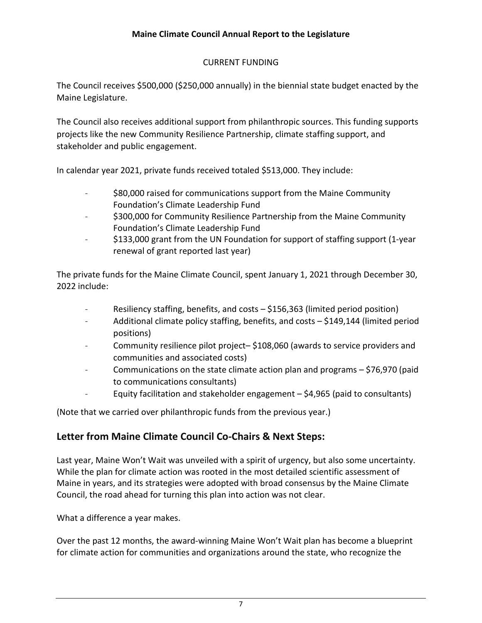#### CURRENT FUNDING

The Council receives \$500,000 (\$250,000 annually) in the biennial state budget enacted by the Maine Legislature.

The Council also receives additional support from philanthropic sources. This funding supports projects like the new Community Resilience Partnership, climate staffing support, and stakeholder and public engagement.

In calendar year 2021, private funds received totaled \$513,000. They include:

- \$80,000 raised for communications support from the Maine Community Foundation's Climate Leadership Fund
- \$300,000 for Community Resilience Partnership from the Maine Community Foundation's Climate Leadership Fund
- \$133,000 grant from the UN Foundation for support of staffing support (1-year renewal of grant reported last year)

The private funds for the Maine Climate Council, spent January 1, 2021 through December 30, 2022 include:

- Resiliency staffing, benefits, and costs  $-$  \$156,363 (limited period position)
- Additional climate policy staffing, benefits, and costs \$149,144 (limited period positions)
- Community resilience pilot project– \$108,060 (awards to service providers and communities and associated costs)
- Communications on the state climate action plan and programs \$76,970 (paid to communications consultants)
- Equity facilitation and stakeholder engagement  $-$  \$4,965 (paid to consultants)

(Note that we carried over philanthropic funds from the previous year.)

#### **Letter from Maine Climate Council Co-Chairs & Next Steps:**

Last year, Maine Won't Wait was unveiled with a spirit of urgency, but also some uncertainty. While the plan for climate action was rooted in the most detailed scientific assessment of Maine in years, and its strategies were adopted with broad consensus by the Maine Climate Council, the road ahead for turning this plan into action was not clear.

What a difference a year makes.

Over the past 12 months, the award-winning Maine Won't Wait plan has become a blueprint for climate action for communities and organizations around the state, who recognize the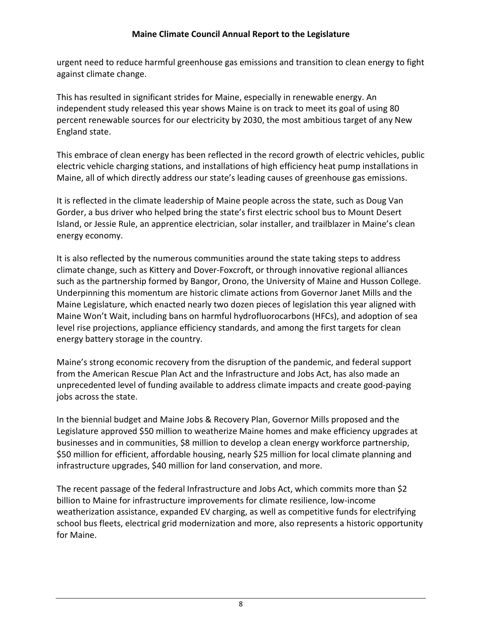urgent need to reduce harmful greenhouse gas emissions and transition to clean energy to fight against climate change.

This has resulted in significant strides for Maine, especially in renewable energy. An independent study released this year shows Maine is on track to meet its goal of using 80 percent renewable sources for our electricity by 2030, the most ambitious target of any New England state.

This embrace of clean energy has been reflected in the record growth of electric vehicles, public electric vehicle charging stations, and installations of high efficiency heat pump installations in Maine, all of which directly address our state's leading causes of greenhouse gas emissions.

It is reflected in the climate leadership of Maine people across the state, such as Doug Van Gorder, a bus driver who helped bring the state's first electric school bus to Mount Desert Island, or Jessie Rule, an apprentice electrician, solar installer, and trailblazer in Maine's clean energy economy.

It is also reflected by the numerous communities around the state taking steps to address climate change, such as Kittery and Dover-Foxcroft, or through innovative regional alliances such as the partnership formed by Bangor, Orono, the University of Maine and Husson College. Underpinning this momentum are historic climate actions from Governor Janet Mills and the Maine Legislature, which enacted nearly two dozen pieces of legislation this year aligned with Maine Won't Wait, including bans on harmful hydrofluorocarbons (HFCs), and adoption of sea level rise projections, appliance efficiency standards, and among the first targets for clean energy battery storage in the country.

Maine's strong economic recovery from the disruption of the pandemic, and federal support from the American Rescue Plan Act and the Infrastructure and Jobs Act, has also made an unprecedented level of funding available to address climate impacts and create good-paying jobs across the state.

In the biennial budget and Maine Jobs & Recovery Plan, Governor Mills proposed and the Legislature approved \$50 million to weatherize Maine homes and make efficiency upgrades at businesses and in communities, \$8 million to develop a clean energy workforce partnership, \$50 million for efficient, affordable housing, nearly \$25 million for local climate planning and infrastructure upgrades, \$40 million for land conservation, and more.

The recent passage of the federal Infrastructure and Jobs Act, which commits more than \$2 billion to Maine for infrastructure improvements for climate resilience, low-income weatherization assistance, expanded EV charging, as well as competitive funds for electrifying school bus fleets, electrical grid modernization and more, also represents a historic opportunity for Maine.